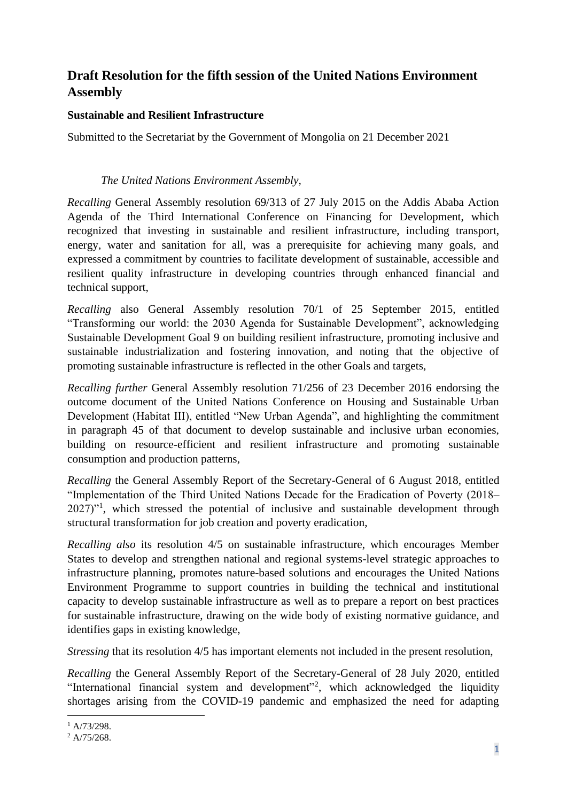## **Draft Resolution for the fifth session of the United Nations Environment Assembly**

## **Sustainable and Resilient Infrastructure**

Submitted to the Secretariat by the Government of Mongolia on 21 December 2021

## *The United Nations Environment Assembly,*

*Recalling* General Assembly resolution 69/313 of 27 July 2015 on the Addis Ababa Action Agenda of the Third International Conference on Financing for Development, which recognized that investing in sustainable and resilient infrastructure, including transport, energy, water and sanitation for all, was a prerequisite for achieving many goals, and expressed a commitment by countries to facilitate development of sustainable, accessible and resilient quality infrastructure in developing countries through enhanced financial and technical support,

*Recalling* also General Assembly resolution 70/1 of 25 September 2015, entitled "Transforming our world: the 2030 Agenda for Sustainable Development", acknowledging Sustainable Development Goal 9 on building resilient infrastructure, promoting inclusive and sustainable industrialization and fostering innovation, and noting that the objective of promoting sustainable infrastructure is reflected in the other Goals and targets,

*Recalling further* General Assembly resolution 71/256 of 23 December 2016 endorsing the outcome document of the United Nations Conference on Housing and Sustainable Urban Development (Habitat III), entitled "New Urban Agenda", and highlighting the commitment in paragraph 45 of that document to develop sustainable and inclusive urban economies, building on resource-efficient and resilient infrastructure and promoting sustainable consumption and production patterns,

*Recalling* the General Assembly Report of the Secretary-General of 6 August 2018, entitled "Implementation of the Third United Nations Decade for the Eradication of Poverty (2018– 2027)"<sup>1</sup>, which stressed the potential of inclusive and sustainable development through structural transformation for job creation and poverty eradication,

*Recalling also* its resolution 4/5 on sustainable infrastructure, which encourages Member States to develop and strengthen national and regional systems-level strategic approaches to infrastructure planning, promotes nature-based solutions and encourages the United Nations Environment Programme to support countries in building the technical and institutional capacity to develop sustainable infrastructure as well as to prepare a report on best practices for sustainable infrastructure, drawing on the wide body of existing normative guidance, and identifies gaps in existing knowledge,

*Stressing* that its resolution 4/5 has important elements not included in the present resolution,

*Recalling* the General Assembly Report of the Secretary-General of 28 July 2020, entitled "International financial system and development"<sup>2</sup>, which acknowledged the liquidity shortages arising from the COVID-19 pandemic and emphasized the need for adapting

 $1 A/73/298.$ 

<sup>&</sup>lt;sup>2</sup> A/75/268.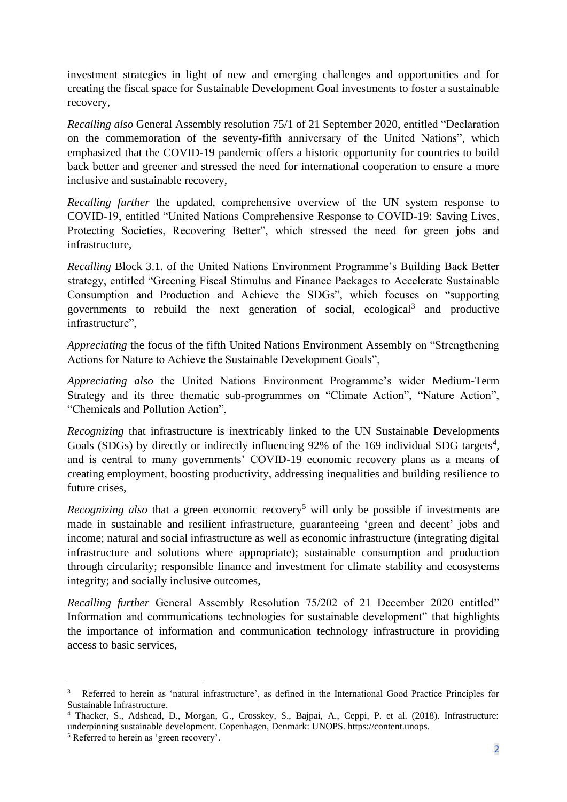investment strategies in light of new and emerging challenges and opportunities and for creating the fiscal space for Sustainable Development Goal investments to foster a sustainable recovery,

*Recalling also* General Assembly resolution 75/1 of 21 September 2020, entitled "Declaration on the commemoration of the seventy-fifth anniversary of the United Nations", which emphasized that the COVID-19 pandemic offers a historic opportunity for countries to build back better and greener and stressed the need for international cooperation to ensure a more inclusive and sustainable recovery,

*Recalling further* the updated, comprehensive overview of the UN system response to COVID-19, entitled "United Nations Comprehensive Response to COVID-19: Saving Lives, Protecting Societies, Recovering Better", which stressed the need for green jobs and infrastructure,

*Recalling* Block 3.1. of the United Nations Environment Programme's Building Back Better strategy, entitled "Greening Fiscal Stimulus and Finance Packages to Accelerate Sustainable Consumption and Production and Achieve the SDGs", which focuses on "supporting governments to rebuild the next generation of social, ecological<sup>3</sup> and productive infrastructure".

*Appreciating* the focus of the fifth United Nations Environment Assembly on "Strengthening Actions for Nature to Achieve the Sustainable Development Goals",

*Appreciating also* the United Nations Environment Programme's wider Medium-Term Strategy and its three thematic sub-programmes on "Climate Action", "Nature Action", "Chemicals and Pollution Action",

*Recognizing* that infrastructure is inextricably linked to the UN Sustainable Developments Goals (SDGs) by directly or indirectly influencing  $92\%$  of the 169 individual SDG targets<sup>4</sup>, and is central to many governments' COVID-19 economic recovery plans as a means of creating employment, boosting productivity, addressing inequalities and building resilience to future crises,

*Recognizing also that a green economic recovery*<sup>5</sup> will only be possible if investments are made in sustainable and resilient infrastructure, guaranteeing 'green and decent' jobs and income; natural and social infrastructure as well as economic infrastructure (integrating digital infrastructure and solutions where appropriate); sustainable consumption and production through circularity; responsible finance and investment for climate stability and ecosystems integrity; and socially inclusive outcomes,

*Recalling further* General Assembly Resolution 75/202 of 21 December 2020 entitled" Information and communications technologies for sustainable development" that highlights the importance of information and communication technology infrastructure in providing access to basic services,

<sup>3</sup> Referred to herein as 'natural infrastructure', as defined in the International Good Practice Principles for Sustainable Infrastructure.

<sup>4</sup> Thacker, S., Adshead, D., Morgan, G., Crosskey, S., Bajpai, A., Ceppi, P. et al. (2018). Infrastructure: underpinning sustainable development. Copenhagen, Denmark: UNOPS. https://content.unops.

<sup>5</sup> Referred to herein as 'green recovery'.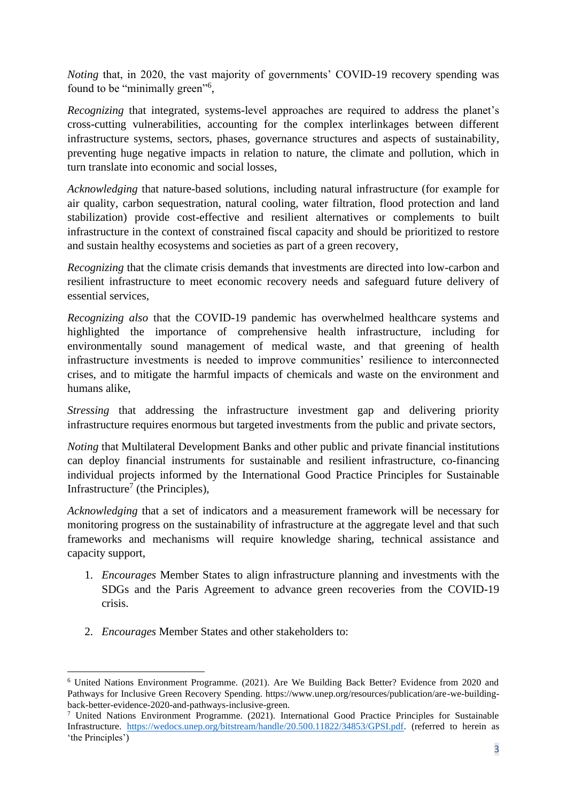*Noting that, in 2020, the vast majority of governments' COVID-19 recovery spending was* found to be "minimally green"<sup>6</sup>,

*Recognizing* that integrated, systems-level approaches are required to address the planet's cross-cutting vulnerabilities, accounting for the complex interlinkages between different infrastructure systems, sectors, phases, governance structures and aspects of sustainability, preventing huge negative impacts in relation to nature, the climate and pollution, which in turn translate into economic and social losses,

*Acknowledging* that nature-based solutions, including natural infrastructure (for example for air quality, carbon sequestration, natural cooling, water filtration, flood protection and land stabilization) provide cost-effective and resilient alternatives or complements to built infrastructure in the context of constrained fiscal capacity and should be prioritized to restore and sustain healthy ecosystems and societies as part of a green recovery,

*Recognizing* that the climate crisis demands that investments are directed into low-carbon and resilient infrastructure to meet economic recovery needs and safeguard future delivery of essential services,

*Recognizing also* that the COVID-19 pandemic has overwhelmed healthcare systems and highlighted the importance of comprehensive health infrastructure, including for environmentally sound management of medical waste, and that greening of health infrastructure investments is needed to improve communities' resilience to interconnected crises, and to mitigate the harmful impacts of chemicals and waste on the environment and humans alike,

*Stressing* that addressing the infrastructure investment gap and delivering priority infrastructure requires enormous but targeted investments from the public and private sectors,

*Noting* that Multilateral Development Banks and other public and private financial institutions can deploy financial instruments for sustainable and resilient infrastructure, co-financing individual projects informed by the International Good Practice Principles for Sustainable Infrastructure<sup>7</sup> (the Principles),

*Acknowledging* that a set of indicators and a measurement framework will be necessary for monitoring progress on the sustainability of infrastructure at the aggregate level and that such frameworks and mechanisms will require knowledge sharing, technical assistance and capacity support,

- 1. *Encourages* Member States to align infrastructure planning and investments with the SDGs and the Paris Agreement to advance green recoveries from the COVID-19 crisis.
- 2. *Encourages* Member States and other stakeholders to:

<sup>6</sup> United Nations Environment Programme. (2021). Are We Building Back Better? Evidence from 2020 and Pathways for Inclusive Green Recovery Spending. https://www.unep.org/resources/publication/are-we-buildingback-better-evidence-2020-and-pathways-inclusive-green.

<sup>7</sup> United Nations Environment Programme. (2021). International Good Practice Principles for Sustainable Infrastructure. [https://wedocs.unep.org/bitstream/handle/20.500.11822/34853/GPSI.pdf.](https://wedocs.unep.org/bitstream/handle/20.500.11822/34853/GPSI.pdf) (referred to herein as 'the Principles')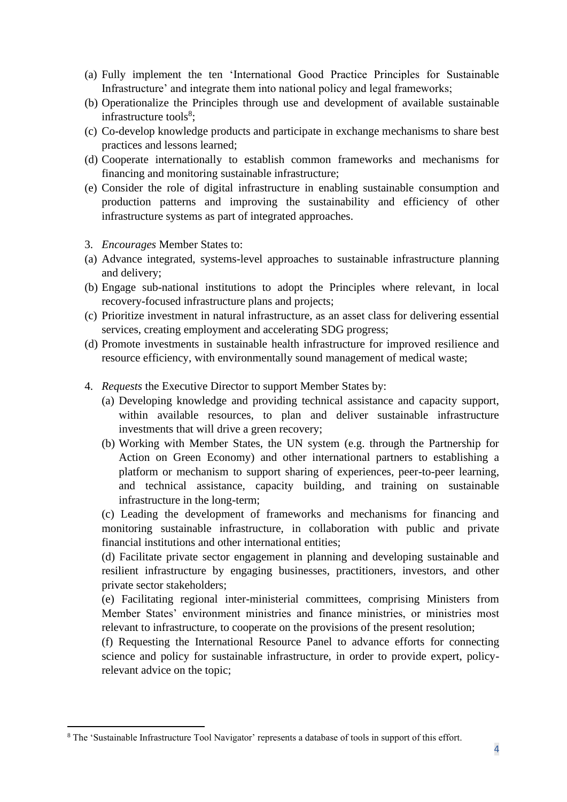- (a) Fully implement the ten 'International Good Practice Principles for Sustainable Infrastructure' and integrate them into national policy and legal frameworks;
- (b) Operationalize the Principles through use and development of available sustainable infrastructure tools<sup>8</sup>;
- (c) Co-develop knowledge products and participate in exchange mechanisms to share best practices and lessons learned;
- (d) Cooperate internationally to establish common frameworks and mechanisms for financing and monitoring sustainable infrastructure;
- (e) Consider the role of digital infrastructure in enabling sustainable consumption and production patterns and improving the sustainability and efficiency of other infrastructure systems as part of integrated approaches.
- 3. *Encourages* Member States to:
- (a) Advance integrated, systems-level approaches to sustainable infrastructure planning and delivery;
- (b) Engage sub-national institutions to adopt the Principles where relevant, in local recovery-focused infrastructure plans and projects;
- (c) Prioritize investment in natural infrastructure, as an asset class for delivering essential services, creating employment and accelerating SDG progress;
- (d) Promote investments in sustainable health infrastructure for improved resilience and resource efficiency, with environmentally sound management of medical waste;
- 4. *Requests* the Executive Director to support Member States by:
	- (a) Developing knowledge and providing technical assistance and capacity support, within available resources, to plan and deliver sustainable infrastructure investments that will drive a green recovery;
	- (b) Working with Member States, the UN system (e.g. through the Partnership for Action on Green Economy) and other international partners to establishing a platform or mechanism to support sharing of experiences, peer-to-peer learning, and technical assistance, capacity building, and training on sustainable infrastructure in the long-term;

(c) Leading the development of frameworks and mechanisms for financing and monitoring sustainable infrastructure, in collaboration with public and private financial institutions and other international entities;

(d) Facilitate private sector engagement in planning and developing sustainable and resilient infrastructure by engaging businesses, practitioners, investors, and other private sector stakeholders;

(e) Facilitating regional inter-ministerial committees, comprising Ministers from Member States' environment ministries and finance ministries, or ministries most relevant to infrastructure, to cooperate on the provisions of the present resolution;

(f) Requesting the International Resource Panel to advance efforts for connecting science and policy for sustainable infrastructure, in order to provide expert, policyrelevant advice on the topic;

<sup>8</sup> The 'Sustainable Infrastructure Tool Navigator' represents a database of tools in support of this effort.